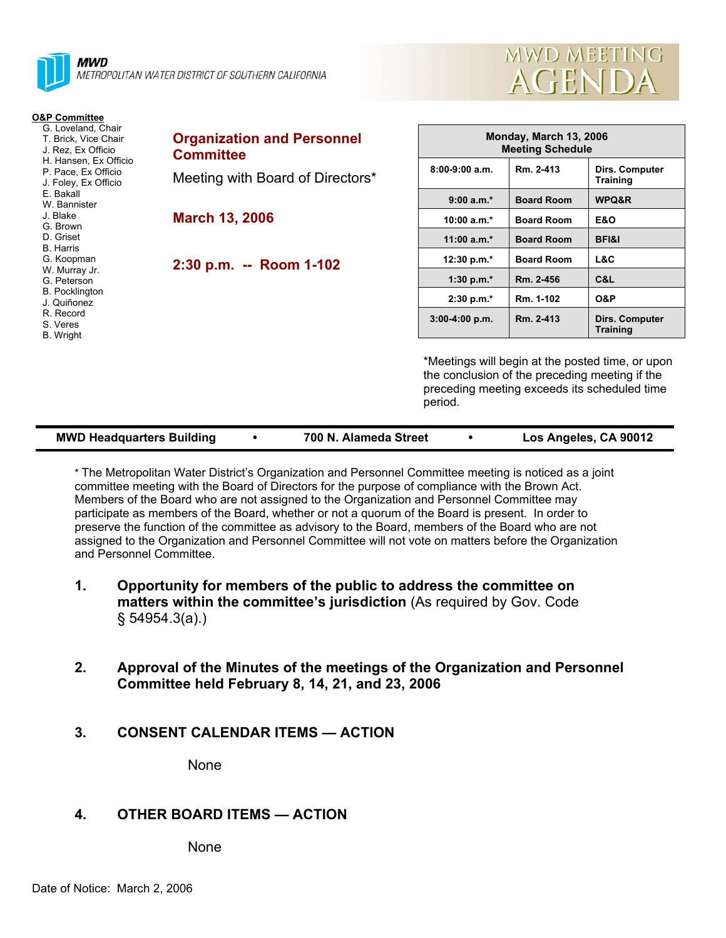



#### **O&P Committee**

- G. Loveland, Chair T. Brick, Vice Chair J. Rez, Ex Officio
- H. Hansen, Ex Officio
- P. Pace, Ex Officio
- J. Foley, Ex Officio E. Bakall
- W. Bannister
- J. Blake
- G. Brown
- D. Griset
- B. Harris
- G. Koopman
- W. Murray Jr.
- G. Peterson B. Pocklington
- J. Quiñonez
- R. Record
- S. Veres
- B. Wright

**Organization and Personnel Committee**  Meeting with Board of Directors\*

**March 13, 2006** 

**2:30 p.m. -- Room 1-102** 

| Monday, March 13, 2006<br><b>Meeting Schedule</b> |                   |                                   |  |  |  |
|---------------------------------------------------|-------------------|-----------------------------------|--|--|--|
| $8:00-9:00$ a.m.                                  | Rm. 2-413         | Dirs. Computer<br><b>Training</b> |  |  |  |
| $9:00 a.m.*$                                      | <b>Board Room</b> | WPQ&R                             |  |  |  |
| 10:00 a.m. $*$                                    | <b>Board Room</b> | E&O                               |  |  |  |
| $11:00 a.m.*$                                     | <b>Board Room</b> | <b>BFI&amp;I</b>                  |  |  |  |
| 12:30 p.m. $*$                                    | <b>Board Room</b> | L&C                               |  |  |  |
| 1:30 p.m. $*$                                     | Rm. 2-456         | C&L                               |  |  |  |
| $2:30 p.m.*$                                      | Rm. 1-102         | <b>O&amp;P</b>                    |  |  |  |
| $3:00-4:00 p.m.$                                  | Rm. 2-413         | Dirs. Computer<br><b>Training</b> |  |  |  |

\*Meetings will begin at the posted time, or upon the conclusion of the preceding meeting if the preceding meeting exceeds its scheduled time period.

| <b>MWD Headquarters Building</b> |  | 700 N. Alameda Street |  | Los Angeles, CA 90012 |
|----------------------------------|--|-----------------------|--|-----------------------|
|----------------------------------|--|-----------------------|--|-----------------------|

\* The Metropolitan Water District's Organization and Personnel Committee meeting is noticed as a joint committee meeting with the Board of Directors for the purpose of compliance with the Brown Act. Members of the Board who are not assigned to the Organization and Personnel Committee may participate as members of the Board, whether or not a quorum of the Board is present. In order to preserve the function of the committee as advisory to the Board, members of the Board who are not assigned to the Organization and Personnel Committee will not vote on matters before the Organization and Personnel Committee.

- **1. Opportunity for members of the public to address the committee on matters within the committee's jurisdiction** (As required by Gov. Code § 54954.3(a).)
- **2. Approval of the Minutes of the meetings of the Organization and Personnel Committee held February 8, 14, 21, and 23, 2006**
- **3. CONSENT CALENDAR ITEMS ACTION**

None

# **4. OTHER BOARD ITEMS — ACTION**

None